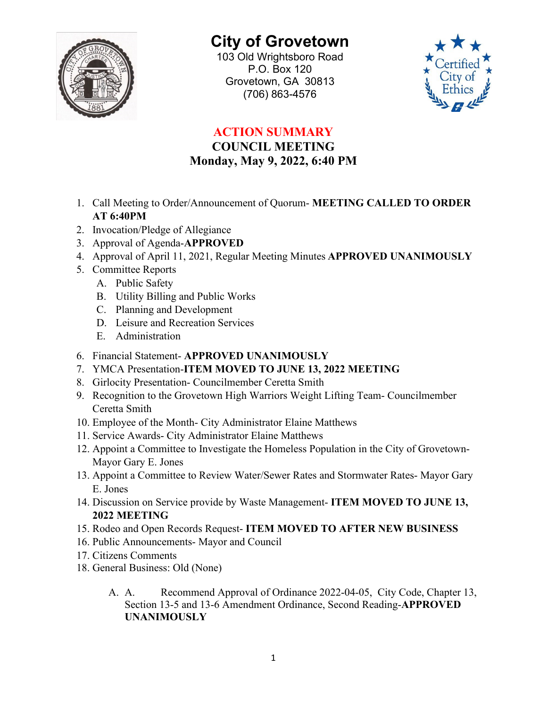

## **City of Grovetown**

103 Old Wrightsboro Road P.O. Box 120 Grovetown, GA 30813 (706) 863-4576



## **ACTION SUMMARY**

## **COUNCIL MEETING Monday, May 9, 2022, 6:40 PM**

- 1. Call Meeting to Order/Announcement of Quorum- **MEETING CALLED TO ORDER AT 6:40PM**
- 2. Invocation/Pledge of Allegiance
- 3. Approval of Agenda-**APPROVED**
- 4. Approval of April 11, 2021, Regular Meeting Minutes **APPROVED UNANIMOUSLY**
- 5. Committee Reports
	- A. Public Safety
	- B. Utility Billing and Public Works
	- C. Planning and Development
	- D. Leisure and Recreation Services
	- E. Administration
- 6. Financial Statement- **APPROVED UNANIMOUSLY**
- 7. YMCA Presentation-**ITEM MOVED TO JUNE 13, 2022 MEETING**
- 8. Girlocity Presentation- Councilmember Ceretta Smith
- 9. Recognition to the Grovetown High Warriors Weight Lifting Team- Councilmember Ceretta Smith
- 10. Employee of the Month- City Administrator Elaine Matthews
- 11. Service Awards- City Administrator Elaine Matthews
- 12. Appoint a Committee to Investigate the Homeless Population in the City of Grovetown-Mayor Gary E. Jones
- 13. Appoint a Committee to Review Water/Sewer Rates and Stormwater Rates- Mayor Gary E. Jones
- 14. Discussion on Service provide by Waste Management- **ITEM MOVED TO JUNE 13, 2022 MEETING**
- 15. Rodeo and Open Records Request- **ITEM MOVED TO AFTER NEW BUSINESS**
- 16. Public Announcements- Mayor and Council
- 17. Citizens Comments
- 18. General Business: Old (None)
	- A. A. Recommend Approval of Ordinance 2022-04-05, City Code, Chapter 13, Section 13-5 and 13-6 Amendment Ordinance, Second Reading-**APPROVED UNANIMOUSLY**